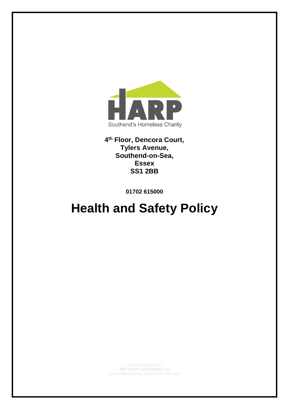

# **4 th Floor, Dencora Court, Tylers Avenue, Southend-on-Sea, Essex SS1 2BB**

**01702 615000**

# **Health and Safety Policy**

Created in association with MB Health and Safety Ltd Unit 1 Hedley Avenue, Grays Essex RM20 4EL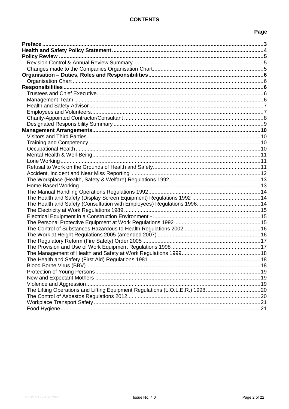# **CONTENTS**

# Page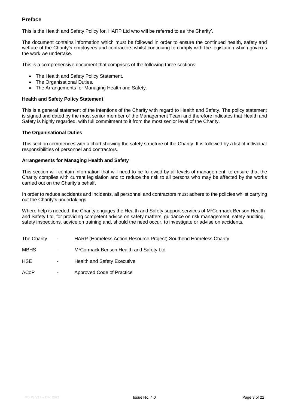## <span id="page-2-0"></span>**Preface**

This is the Health and Safety Policy for, HARP Ltd who will be referred to as 'the Charity'.

The document contains information which must be followed in order to ensure the continued health, safety and welfare of the Charity's employees and contractors whilst continuing to comply with the legislation which governs the work we undertake.

This is a comprehensive document that comprises of the following three sections:

- The Health and Safety Policy Statement.
- The Organisational Duties.
- The Arrangements for Managing Health and Safety.

#### **Health and Safety Policy Statement**

This is a general statement of the intentions of the Charity with regard to Health and Safety. The policy statement is signed and dated by the most senior member of the Management Team and therefore indicates that Health and Safety is highly regarded, with full commitment to it from the most senior level of the Charity.

#### **The Organisational Duties**

This section commences with a chart showing the safety structure of the Charity. It is followed by a list of individual responsibilities of personnel and contractors.

#### **Arrangements for Managing Health and Safety**

This section will contain information that will need to be followed by all levels of management, to ensure that the Charity complies with current legislation and to reduce the risk to all persons who may be affected by the works carried out on the Charity's behalf.

In order to reduce accidents and incidents, all personnel and contractors must adhere to the policies whilst carrying out the Charity's undertakings.

Where help is needed, the Charity engages the Health and Safety support services of M<sup>c</sup>Cormack Benson Health and Safety Ltd, for providing competent advice on safety matters, guidance on risk management, safety auditing, safety inspections, advice on training and, should the need occur, to investigate or advise on accidents.

- The Charity HARP (Homeless Action Resource Project) Southend Homeless Charity
- MBHS M<sup>c</sup>Cormack Benson Health and Safety Ltd
- HSE Health and Safety Executive
- ACoP Approved Code of Practice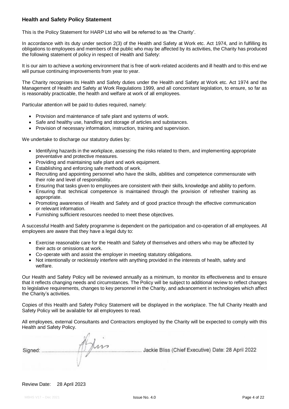## <span id="page-3-0"></span>**Health and Safety Policy Statement**

This is the Policy Statement for HARP Ltd who will be referred to as 'the Charity'.

In accordance with its duty under section 2(3) of the Health and Safety at Work etc. Act 1974, and in fulfilling its obligations to employees and members of the public who may be affected by its activities, the Charity has produced the following statement of policy in respect of Health and Safety:

It is our aim to achieve a working environment that is free of work-related accidents and ill health and to this end we will pursue continuing improvements from year to year.

The Charity recognises its Health and Safety duties under the Health and Safety at Work etc. Act 1974 and the Management of Health and Safety at Work Regulations 1999, and all concomitant legislation, to ensure, so far as is reasonably practicable, the health and welfare at work of all employees.

Particular attention will be paid to duties required, namely:

- Provision and maintenance of safe plant and systems of work.
- Safe and healthy use, handling and storage of articles and substances.
- Provision of necessary information, instruction, training and supervision.

We undertake to discharge our statutory duties by:

- Identifying hazards in the workplace, assessing the risks related to them, and implementing appropriate preventative and protective measures.
- Providing and maintaining safe plant and work equipment.
- **Establishing and enforcing safe methods of work.**
- Recruiting and appointing personnel who have the skills, abilities and competence commensurate with their role and level of responsibility.
- Ensuring that tasks given to employees are consistent with their skills, knowledge and ability to perform.
- Ensuring that technical competence is maintained through the provision of refresher training as appropriate.
- Promoting awareness of Health and Safety and of good practice through the effective communication or relevant information.
- Furnishing sufficient resources needed to meet these objectives.

A successful Health and Safety programme is dependent on the participation and co-operation of all employees. All employees are aware that they have a legal duty to:

- Exercise reasonable care for the Health and Safety of themselves and others who may be affected by their acts or omissions at work.
- Co-operate with and assist the employer in meeting statutory obligations.
- Not intentionally or recklessly interfere with anything provided in the interests of health, safety and welfare.

Our Health and Safety Policy will be reviewed annually as a minimum, to monitor its effectiveness and to ensure that it reflects changing needs and circumstances. The Policy will be subject to additional review to reflect changes to legislative requirements, changes to key personnel in the Charity, and advancement in technologies which affect the Charity's activities.

Copies of this Health and Safety Policy Statement will be displayed in the workplace. The full Charity Health and Safety Policy will be available for all employees to read.

All employees, external Consultants and Contractors employed by the Charity will be expected to comply with this Health and Safety Policy.

| Signed: | $\sim$ | Jackie Bliss (Chief Executive) Date: 28 April 2022 |
|---------|--------|----------------------------------------------------|
|         |        |                                                    |

## Review Date: 28 April 2023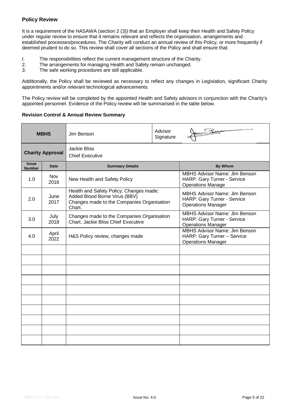## <span id="page-4-0"></span>**Policy Review**

It is a requirement of the HASAWA (section 2 (3)) that an Employer shall keep their Health and Safety Policy under regular review to ensure that it remains relevant and reflects the organisation, arrangements and established processes/procedures. The Charity will conduct an annual review of this Policy, or more frequently if deemed prudent to do so. This review shall cover all sections of the Policy and shall ensure that:

- I. The responsibilities reflect the current management structure of the Charity.
- 2. The arrangements for managing Health and Safety remain unchanged.
- 3. The safe working procedures are still applicable.

Additionally, the Policy shall be reviewed as necessary to reflect any changes in Legislation, significant Charity appointments and/or relevant technological advancements.

The Policy review will be completed by the appointed Health and Safety advisors in conjunction with the Charity's appointed personnel. Evidence of the Policy review will be summarised in the table below.

#### <span id="page-4-1"></span>**Revision Control & Annual Review Summary**

<span id="page-4-2"></span>

|                               | <b>MBHS</b>        | Jim Benson                                                                                                                       | Advisor<br>Signature | $\leftarrow$                                                                                     |
|-------------------------------|--------------------|----------------------------------------------------------------------------------------------------------------------------------|----------------------|--------------------------------------------------------------------------------------------------|
| <b>Charity Approval</b>       |                    | <b>Jackie Bliss</b><br><b>Chief Executive</b>                                                                                    |                      |                                                                                                  |
| <b>Issue</b><br><b>Number</b> | <b>Date</b>        | <b>Summary Details</b>                                                                                                           |                      | <b>By Whom</b>                                                                                   |
| 1.0                           | <b>Nov</b><br>2016 | New Health and Safety Policy                                                                                                     |                      | <b>MBHS Advisor Name: Jim Benson</b><br>HARP: Gary Turner - Service<br><b>Operations Manage</b>  |
| 2.0                           | June<br>2017       | Health and Safety Policy; Changes made;<br>Added Blood Borne Virus (BBV)<br>Changes made to the Companies Organisation<br>Chart. |                      | <b>MBHS Advisor Name: Jim Benson</b><br>HARP: Gary Turner - Service<br><b>Operations Manager</b> |
| 3.0                           | July<br>2018       | Changes made to the Companies Organisation<br>Chart. Jackie Bliss Chief Executive                                                |                      | <b>MBHS Advisor Name: Jim Benson</b><br>HARP: Gary Turner - Service<br><b>Operations Manager</b> |
| 4.0                           | April<br>2022      | H&S Policy review, changes made                                                                                                  |                      | <b>MBHS Advisor Name: Jim Benson</b><br>HARP: Gary Turner - Service<br><b>Operations Manager</b> |
|                               |                    |                                                                                                                                  |                      |                                                                                                  |
|                               |                    |                                                                                                                                  |                      |                                                                                                  |
|                               |                    |                                                                                                                                  |                      |                                                                                                  |
|                               |                    |                                                                                                                                  |                      |                                                                                                  |
|                               |                    |                                                                                                                                  |                      |                                                                                                  |
|                               |                    |                                                                                                                                  |                      |                                                                                                  |
|                               |                    |                                                                                                                                  |                      |                                                                                                  |
|                               |                    |                                                                                                                                  |                      |                                                                                                  |
|                               |                    |                                                                                                                                  |                      |                                                                                                  |
|                               |                    |                                                                                                                                  |                      |                                                                                                  |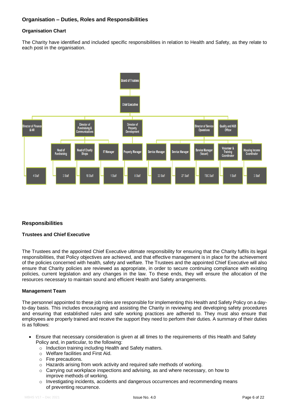## <span id="page-5-1"></span><span id="page-5-0"></span>**Organisation Chart**

The Charity have identified and included specific responsibilities in relation to Health and Safety, as they relate to each post in the organisation.



## <span id="page-5-2"></span>**Responsibilities**

## <span id="page-5-3"></span>**Trustees and Chief Executive**

The Trustees and the appointed Chief Executive ultimate responsibility for ensuring that the Charity fulfils its legal responsibilities, that Policy objectives are achieved, and that effective management is in place for the achievement of the policies concerned with health, safety and welfare. The Trustees and the appointed Chief Executive will also ensure that Charity policies are reviewed as appropriate, in order to secure continuing compliance with existing policies, current legislation and any changes in the law. To these ends, they will ensure the allocation of the resources necessary to maintain sound and efficient Health and Safety arrangements.

## <span id="page-5-4"></span>**Management Team**

The personnel appointed to these job roles are responsible for implementing this Health and Safety Policy on a dayto-day basis. This includes encouraging and assisting the Charity in reviewing and developing safety procedures and ensuring that established rules and safe working practices are adhered to. They must also ensure that employees are properly trained and receive the support they need to perform their duties. A summary of their duties is as follows:

- Ensure that necessary consideration is given at all times to the requirements of this Health and Safety Policy and, in particular, to the following:
	- o Induction training including Health and Safety matters.
	- o Welfare facilities and First Aid.
	- o Fire precautions.
	- o Hazards arising from work activity and required safe methods of working.
	- $\circ$  Carrying out workplace inspections and advising, as and where necessary, on how to improve methods of working.
	- $\circ$  Investigating incidents, accidents and dangerous occurrences and recommending means of preventing recurrence.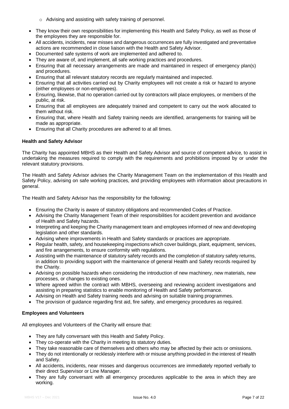- o Advising and assisting with safety training of personnel.
- They know their own responsibilities for implementing this Health and Safety Policy, as well as those of the employees they are responsible for.
- All accidents, incidents, near misses and dangerous occurrences are fully investigated and preventative actions are recommended in close liaison with the Health and Safety Advisor.
- Documented safe systems of work are implemented and adhered to.
- They are aware of, and implement, all safe working practices and procedures.
- Ensuring that all necessary arrangements are made and maintained in respect of emergency plan(s) and procedures.
- Ensuring that all relevant statutory records are regularly maintained and inspected.
- Ensuring that all activities carried out by Charity employees will not create a risk or hazard to anyone (either employees or non-employees).
- Ensuring, likewise, that no operation carried out by contractors will place employees, or members of the public, at risk.
- Ensuring that all employees are adequately trained and competent to carry out the work allocated to them without risk.
- Ensuring that, where Health and Safety training needs are identified, arrangements for training will be made as appropriate.
- Ensuring that all Charity procedures are adhered to at all times.

#### <span id="page-6-0"></span>**Health and Safety Advisor**

The Charity has appointed MBHS as their Health and Safety Advisor and source of competent advice, to assist in undertaking the measures required to comply with the requirements and prohibitions imposed by or under the relevant statutory provisions.

The Health and Safety Advisor advises the Charity Management Team on the implementation of this Health and Safety Policy, advising on safe working practices, and providing employees with information about precautions in general.

The Health and Safety Advisor has the responsibility for the following:

- Ensuring the Charity is aware of statutory obligations and recommended Codes of Practice.
- Advising the Charity Management Team of their responsibilities for accident prevention and avoidance of Health and Safety hazards.
- Interpreting and keeping the Charity management team and employees informed of new and developing legislation and other standards.
- Advising where improvements in Health and Safety standards or practices are appropriate.
- Regular health, safety, and housekeeping inspections which cover buildings, plant, equipment, services, and fire arrangements, to ensure conformity with regulations.
- Assisting with the maintenance of statutory safety records and the completion of statutory safety returns, in addition to providing support with the maintenance of general Health and Safety records required by the Charity.
- Advising on possible hazards when considering the introduction of new machinery, new materials, new processes, or changes to existing ones.
- Where agreed within the contract with MBHS, overseeing and reviewing accident investigations and assisting in preparing statistics to enable monitoring of Health and Safety performance.
- Advising on Health and Safety training needs and advising on suitable training programmes.
- The provision of guidance regarding first aid, fire safety, and emergency procedures as required.

## <span id="page-6-1"></span>**Employees and Volunteers**

All employees and Volunteers of the Charity will ensure that:

- They are fully conversant with this Health and Safety Policy.
- They co-operate with the Charity in meeting its statutory duties.
- They take reasonable care of themselves and others who may be affected by their acts or omissions.
- They do not intentionally or recklessly interfere with or misuse anything provided in the interest of Health and Safety.
- All accidents, incidents, near misses and dangerous occurrences are immediately reported verbally to their direct Supervisor or Line Manager.
- They are fully conversant with all emergency procedures applicable to the area in which they are working.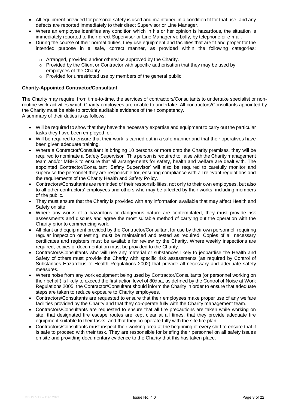- All equipment provided for personal safety is used and maintained in a condition fit for that use, and any defects are reported immediately to their direct Supervisor or Line Manager.
- Where an employee identifies any condition which in his or her opinion is hazardous, the situation is immediately reported to their direct Supervisor or Line Manager verbally, by telephone or e-mail.
- During the course of their normal duties, they use equipment and facilities that are fit and proper for the intended purpose in a safe, correct manner, as provided within the following categories:
	- o Arranged, provided and/or otherwise approved by the Charity.
	- $\circ$  Provided by the Client or Contractor with specific authorisation that they may be used by employees of the Charity.
	- o Provided for unrestricted use by members of the general public.

#### <span id="page-7-0"></span>**Charity-Appointed Contractor/Consultant**

The Charity may require, from time-to-time, the services of contractors/Consultants to undertake specialist or nonroutine work activities which Charity employees are unable to undertake. All contractors/Consultants appointed by the Charity must be able to provide auditable evidence of their competency.

A summary of their duties is as follows:

- Will be required to show that they have the necessary expertise and equipment to carry out the particular tasks they have been employed for.
- Will be required to ensure that their work is carried out in a safe manner and that their operatives have been given adequate training.
- Where a Contractor/Consultant is bringing 10 persons or more onto the Charity premises, they will be required to nominate a 'Safety Supervisor'. This person is required to liaise with the Charity management team and/or MBHS to ensure that all arrangements for safety, health and welfare are dealt with. The appointed Contractor/Consultant 'Safety Supervisor' will also be required to carefully monitor and supervise the personnel they are responsible for, ensuring compliance with all relevant regulations and the requirements of the Charity Health and Safety Policy.
- Contractors/Consultants are reminded of their responsibilities, not only to their own employees, but also to all other contractors' employees and others who may be affected by their works, including members of the public.
- They must ensure that the Charity is provided with any information available that may affect Health and Safety on site.
- Where any works of a hazardous or dangerous nature are contemplated, they must provide risk assessments and discuss and agree the most suitable method of carrying out the operation with the Charity prior to commencing work.
- All plant and equipment provided by the Contractor/Consultant for use by their own personnel, requiring regular inspection or testing, must be maintained and tested as required. Copies of all necessary certificates and registers must be available for review by the Charity. Where weekly inspections are required, copies of documentation must be provided to the Charity.
- Contractors/Consultants who will use any material or substances likely to jeopardise the Health and Safety of others must provide the Charity with specific risk assessments (as required by Control of Substances Hazardous to Health Regulations 2002) that provide all necessary and adequate safety measures.
- Where noise from any work equipment being used by Contractor/Consultants (or personnel working on their behalf) is likely to exceed the first action level of 80dba, as defined by the Control of Noise at Work Regulations 2005, the Contractor/Consultant should inform the Charity in order to ensure that adequate steps are taken to reduce exposure to Charity employees.
- Contractors/Consultants are requested to ensure that their employees make proper use of any welfare facilities provided by the Charity and that they co-operate fully with the Charity management team.
- Contractors/Consultants are requested to ensure that all fire precautions are taken while working on site, that designated fire escape routes are kept clear at all times, that they provide adequate fire equipment suitable to their tasks, and that they co-operate fully with the site fire plan.
- Contractors/Consultants must inspect their working area at the beginning of every shift to ensure that it is safe to proceed with their task. They are responsible for briefing their personnel on all safety issues on site and providing documentary evidence to the Charity that this has taken place.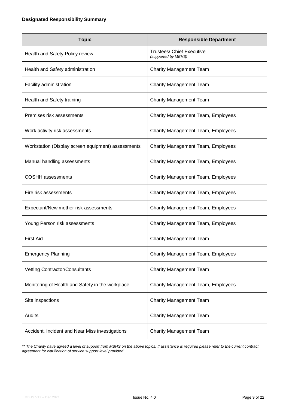<span id="page-8-0"></span>

| <b>Topic</b>                                       | <b>Responsible Department</b>                           |
|----------------------------------------------------|---------------------------------------------------------|
| Health and Safety Policy review                    | <b>Trustees/ Chief Executive</b><br>(supported by MBHS) |
| Health and Safety administration                   | <b>Charity Management Team</b>                          |
| Facility administration                            | <b>Charity Management Team</b>                          |
| Health and Safety training                         | <b>Charity Management Team</b>                          |
| Premises risk assessments                          | <b>Charity Management Team, Employees</b>               |
| Work activity risk assessments                     | <b>Charity Management Team, Employees</b>               |
| Workstation (Display screen equipment) assessments | Charity Management Team, Employees                      |
| Manual handling assessments                        | <b>Charity Management Team, Employees</b>               |
| <b>COSHH</b> assessments                           | <b>Charity Management Team, Employees</b>               |
| Fire risk assessments                              | <b>Charity Management Team, Employees</b>               |
| Expectant/New mother risk assessments              | <b>Charity Management Team, Employees</b>               |
| Young Person risk assessments                      | Charity Management Team, Employees                      |
| <b>First Aid</b>                                   | <b>Charity Management Team</b>                          |
| <b>Emergency Planning</b>                          | <b>Charity Management Team, Employees</b>               |
| Vetting Contractor/Consultants                     | <b>Charity Management Team</b>                          |
| Monitoring of Health and Safety in the workplace   | Charity Management Team, Employees                      |
| Site inspections                                   | <b>Charity Management Team</b>                          |
| Audits                                             | <b>Charity Management Team</b>                          |
| Accident, Incident and Near Miss investigations    | <b>Charity Management Team</b>                          |

*\*\* The Charity have agreed a level of support from MBHS on the above topics. If assistance is required please refer to the current contract agreement for clarification of service support level provided*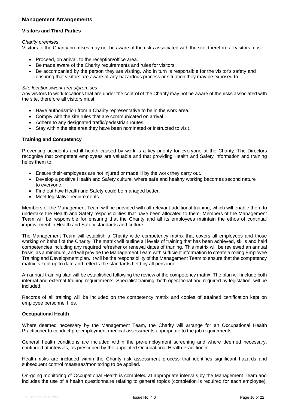## <span id="page-9-0"></span>**Management Arrangements**

#### <span id="page-9-1"></span>**Visitors and Third Parties**

#### *Charity premises*

Visitors to the Charity premises may not be aware of the risks associated with the site, therefore all visitors must:

- Proceed, on arrival, to the reception/office area.
- Be made aware of the Charity requirements and rules for visitors.
- Be accompanied by the person they are visiting, who in turn is responsible for the visitor's safety and ensuring that visitors are aware of any hazardous process or situation they may be exposed to.

#### *Site locations/work areas/premises*

Any visitors to work locations that are under the control of the Charity may not be aware of the risks associated with the site, therefore all visitors must:

- Have authorisation from a Charity representative to be in the work area.
- Comply with the site rules that are communicated on arrival.
- Adhere to any designated traffic/pedestrian routes.
- Stay within the site area they have been nominated or instructed to visit.

#### <span id="page-9-2"></span>**Training and Competency**

Preventing accidents and ill health caused by work is a key priority for everyone at the Charity. The Directors recognise that competent employees are valuable and that providing Health and Safety information and training helps them to:

- Ensure their employees are not injured or made ill by the work they carry out.
- Develop a positive Health and Safety culture, where safe and healthy working becomes second nature to everyone.
- Find out how Health and Safety could be managed better.
- Meet legislative requirements.

Members of the Management Team will be provided with all relevant additional training, which will enable them to undertake the Health and Safety responsibilities that have been allocated to them. Members of the Management Team will be responsible for ensuring that the Charity and all its employees maintain the ethos of continual improvement in Health and Safety standards and culture.

The Management Team will establish a Charity wide competency matrix that covers all employees and those working on behalf of the Charity. The matrix will outline all levels of training that has been achieved, skills and held competencies including any required refresher or renewal dates of training. This matrix will be reviewed an annual basis, as a minimum, and will provide the Management Team with sufficient information to create a rolling Employee Training and Development plan. It will be the responsibility of the Management Team to ensure that the competency matrix is kept up to date and reflects the standards held by all personnel.

An annual training plan will be established following the review of the competency matrix. The plan will include both internal and external training requirements. Specialist training, both operational and required by legislation, will be included.

Records of all training will be included on the competency matrix and copies of attained certification kept on employee personnel files.

#### <span id="page-9-3"></span>**Occupational Health**

Where deemed necessary by the Management Team, the Charity will arrange for an Occupational Health Practitioner to conduct pre-employment medical assessments appropriate to the job requirements.

General health conditions are included within the pre-employment screening and where deemed necessary, continued at intervals, as prescribed by the appointed Occupational Health Practitioner.

Health risks are included within the Charity risk assessment process that identifies significant hazards and subsequent control measures/monitoring to be applied.

On-going monitoring of Occupational Health is completed at appropriate intervals by the Management Team and includes the use of a health questionnaire relating to general topics (completion is required for each employee).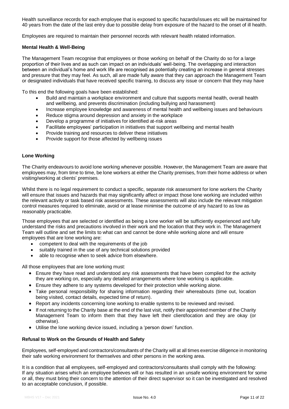Health surveillance records for each employee that is exposed to specific hazards/issues etc will be maintained for 40 years from the date of the last entry due to possible delay from exposure of the hazard to the onset of ill health.

Employees are required to maintain their personnel records with relevant health related information.

## <span id="page-10-0"></span>**Mental Health & Well-Being**

The Management Team recognise that employees or those working on behalf of the Charity do so for a large proportion of their lives and as such can impact on an individuals' well-being. The overlapping and interaction between an individual's home and work life are recognised as potentially creating an increase in general stresses and pressure that they may feel. As such, all are made fully aware that they can approach the Management Team or designated individuals that have received specific training, to discuss any issue or concern that they may have

To this end the following goals have been established:

- Build and maintain a workplace environment and culture that supports mental health, overall health and wellbeing, and prevents discrimination (including bullying and harassment)
- Increase employee knowledge and awareness of mental health and wellbeing issues and behaviours
- Reduce stigma around depression and anxiety in the workplace
- Develop a programme of initiatives for identified at-risk areas
- Facilitate employees' participation in initiatives that support wellbeing and mental health
- Provide training and resources to deliver these initiatives
- Provide support for those affected by wellbeing issues

#### <span id="page-10-1"></span>**Lone Working**

The Charity endeavours to avoid lone working whenever possible. However, the Management Team are aware that employees may, from time to time, be lone workers at either the Charity premises, from their home address or when visiting/working at clients' premises.

Whilst there is no legal requirement to conduct a specific, separate risk assessment for lone workers the Charity will ensure that issues and hazards that may significantly affect or impact those lone working are included within the relevant activity or task based risk assessments. These assessments will also include the relevant mitigation control measures required to eliminate, avoid or at lease minimise the outcome of any hazard to as low as reasonably practicable.

Those employees that are selected or identified as being a lone worker will be sufficiently experienced and fully understand the risks and precautions involved in their work and the location that they work in. The Management Team will outline and set the limits to what can and cannot be done while working alone and will ensure employees that are lone working are:

- competent to deal with the requirements of the job
- suitably trained in the use of any technical solutions provided
- able to recognise when to seek advice from elsewhere.

All those employees that are lone working must:

- Ensure they have read and understood any risk assessments that have been compiled for the activity they are working on, especially any detailed arrangements where lone working is applicable.
- Ensure they adhere to any systems developed for their protection while working alone.
- Take personal responsibility for sharing information regarding their whereabouts (time out, location being visited, contact details, expected time of return).
- Report any incidents concerning lone working to enable systems to be reviewed and revised.
- If not returning to the Charity base at the end of the last visit, notify their appointed member of the Charity Management Team to inform them that they have left their client/location and they are okay (or otherwise).
- Utilise the lone working device issued, including a 'person down' function.

#### <span id="page-10-2"></span>**Refusal to Work on the Grounds of Health and Safety**

Employees, self-employed and contractors/consultants of the Charity will at all times exercise diligence in monitoring their safe working environment for themselves and other persons in the working area.

It is a condition that all employees, self-employed and contractors/consultants shall comply with the following: If any situation arises which an employee believes will or has resulted in an unsafe working environment for some or all, they must bring their concern to the attention of their direct supervisor so it can be investigated and resolved to an acceptable conclusion, if possible.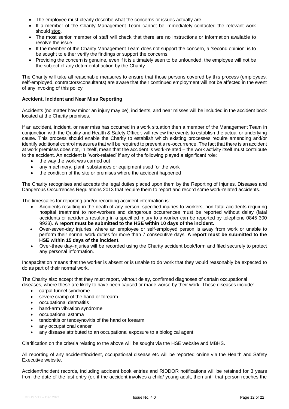- The employee must clearly describe what the concerns or issues actually are.
- If a member of the Charity Management Team cannot be immediately contacted the relevant work should stop.
- The most senior member of staff will check that there are no instructions or information available to resolve the issue.
- If the member of the Charity Management Team does not support the concern, a 'second opinion' is to be sought to either verify the findings or support the concerns.
- Providing the concern is genuine, even if it is ultimately seen to be unfounded, the employee will not be the subject of any detrimental action by the Charity.

The Charity will take all reasonable measures to ensure that those persons covered by this process (employees, self-employed, contractors/consultants) are aware that their continued employment will not be affected in the event of any invoking of this policy.

## <span id="page-11-0"></span>**Accident, Incident and Near Miss Reporting**

Accidents (no matter how minor an injury may be), incidents, and near misses will be included in the accident book located at the Charity premises.

If an accident, incident, or near miss has occurred in a work situation then a member of the Management Team in conjunction with the Quality and Health & Safety Officer, will review the events to establish the actual or underlying cause. This process should enable the Charity to establish which existing processes require amending and/or identify additional control measures that will be required to prevent a re-occurrence. The fact that there is an accident at work premises does not, in itself, mean that the accident is work-related – the work activity itself must contribute to the accident. An accident is 'work-related' if any of the following played a significant role:

- the way the work was carried out
- any machinery, plant, substances or equipment used for the work
- the condition of the site or premises where the accident happened

The Charity recognises and accepts the legal duties placed upon them by the Reporting of Injuries, Diseases and Dangerous Occurrences Regulations 2013 that require them to report and record some work-related accidents.

The timescales for reporting and/or recording accident information is:

- Accidents resulting in the death of any person, specified injuries to workers, non-fatal accidents requiring hospital treatment to non-workers and dangerous occurrences must be reported without delay (fatal accidents or accidents resulting in a specified injury to a worker can be reported by telephone 0845 300 9923). **A report must be submitted to the HSE within 10 days of the incident.**
- Over-seven-day injuries, where an employee or self-employed person is away from work or unable to perform their normal work duties for more than 7 consecutive days. **A report must be submitted to the HSE within 15 days of the incident.**
- Over-three day-injuries will be recorded using the Charity accident book/form and filed securely to protect any personal information.

Incapacitation means that the worker is absent or is unable to do work that they would reasonably be expected to do as part of their normal work.

The Charity also accept that they must report, without delay, confirmed diagnoses of certain occupational diseases, where these are likely to have been caused or made worse by their work. These diseases include:

- carpal tunnel syndrome
- severe cramp of the hand or forearm
- occupational dermatitis
- hand-arm vibration syndrome
- occupational asthma
- tendonitis or tenosynovitis of the hand or forearm
- any occupational cancer
- any disease attributed to an occupational exposure to a biological agent

Clarification on the criteria relating to the above will be sought via the HSE website and MBHS.

All reporting of any accident/incident, occupational disease etc will be reported online via the Health and Safety Executive website.

Accident/Incident records, including accident book entries and RIDDOR notifications will be retained for 3 years from the date of the last entry (or, if the accident involves a child/ young adult, then until that person reaches the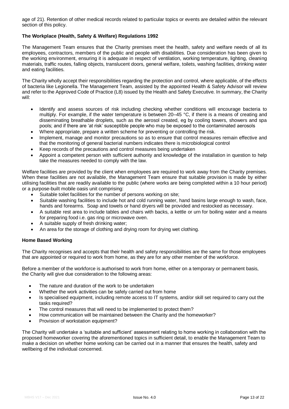age of 21). Retention of other medical records related to particular topics or events are detailed within the relevant section of this policy.

## <span id="page-12-0"></span>**The Workplace (Health, Safety & Welfare) Regulations 1992**

The Management Team ensures that the Charity premises meet the health, safety and welfare needs of all its employees, contractors, members of the public and people with disabilities. Due consideration has been given to the working environment, ensuring it is adequate in respect of ventilation, working temperature, lighting, cleaning materials, traffic routes, falling objects, translucent doors, general welfare, toilets, washing facilities, drinking water and eating facilities.

The Charity wholly accept their responsibilities regarding the protection and control, where applicable, of the effects of bacteria like Legionella. The Management Team, assisted by the appointed Health & Safety Advisor will review and refer to the Approved Code of Practice (L8) issued by the Health and Safety Executive. In summary, the Charity will:

- Identify and assess sources of risk including checking whether conditions will encourage bacteria to multiply. For example, if the water temperature is between 20–45 °C, if there is a means of creating and disseminating breathable droplets, such as the aerosol created, eg by cooling towers, showers and spa pools; and if there are 'at risk' susceptible people who may be exposed to the contaminated aerosols
- Where appropriate, prepare a written scheme for preventing or controlling the risk.
- Implement, manage and monitor precautions so as to ensure that control measures remain effective and that the monitoring of general bacterial numbers indicates there is microbiological control
- Keep records of the precautions and control measures being undertaken
- Appoint a competent person with sufficient authority and knowledge of the installation in question to help take the measures needed to comply with the law.

Welfare facilities are provided by the client when employees are required to work away from the Charity premises. When these facilities are not available, the Management Team ensure that suitable provision is made by either utilising facilities that are readily available to the public (where works are being completed within a 10 hour period) or a purpose-built mobile oasis unit comprising:

- Suitable toilet facilities for the number of persons working on site;
- Suitable washing facilities to include hot and cold running water, hand basins large enough to wash, face, hands and forearms. Soap and towels or hand dryers will be provided and restocked as necessary.
- A suitable rest area to include tables and chairs with backs, a kettle or urn for boiling water and a means for preparing food i.e. gas ring or microwave oven.
- A suitable supply of fresh drinking water;
- An area for the storage of clothing and drying room for drying wet clothing.

## <span id="page-12-1"></span>**Home Based Working**

The Charity recognises and accepts that their health and safety responsibilities are the same for those employees that are appointed or required to work from home, as they are for any other member of the workforce.

Before a member of the workforce is authorised to work from home, either on a temporary or permanent basis, the Charity will give due consideration to the following areas:

- The nature and duration of the work to be undertaken
- Whether the work activities can be safely carried out from home
- Is specialised equipment, including remote access to IT systems, and/or skill set required to carry out the tasks required?
- The control measures that will need to be implemented to protect them?
- How communication will be maintained between the Charity and the homeworker?
- Provision of workstation equipment?

The Charity will undertake a 'suitable and sufficient' assessment relating to home working in collaboration with the proposed homeworker covering the aforementioned topics in sufficient detail, to enable the Management Team to make a decision on whether home working can be carried out in a manner that ensures the health, safety and wellbeing of the individual concerned.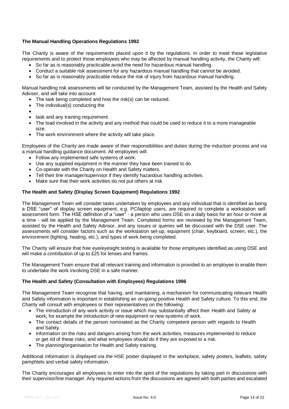## <span id="page-13-0"></span>**The Manual Handling Operations Regulations 1992**

The Charity is aware of the requirements placed upon it by the regulations. In order to meet these legislative requirements and to protect those employees who may be affected by manual handling activity, the Charity will:

- So far as is reasonably practicable avoid the need for hazardous manual handling.
- Conduct a suitable risk assessment for any hazardous manual handling that cannot be avoided.
- So far as is reasonably practicable reduce the risk of injury from hazardous manual handling.

Manual handling risk assessments will be conducted by the Management Team, assisted by the Health and Safety Advisor, and will take into account:

- The task being completed and how the risk(s) can be reduced.
- The individual(s) conducting the
- $\bullet$
- task and any training requirement.
- The load involved in the activity and any method that could be used to reduce it to a more manageable size.
- The work environment where the activity will take place.

Employees of the Charity are made aware of their responsibilities and duties during the induction process and via a manual handling guidance document. All employees will:

- Follow any implemented safe systems of work.
- Use any supplied equipment in the manner they have been trained to do.
- Co-operate with the Charity on Health and Safety matters.
- Tell their line manager/supervisor if they identify hazardous handling activities.
- Make sure that their work activities do not put others at risk.

#### <span id="page-13-1"></span>**The Health and Safety (Display Screen Equipment) Regulations 1992**

The Management Team will consider tasks undertaken by employees and any individual that is identified as being a DSE "user" of display screen equipment, e.g. PC/laptop users, are required to complete a workstation selfassessment form. The HSE definition of a "user" - a person who uses DSE on a daily basis for an hour or more at a time - will be applied by the Management Team. Completed forms are reviewed by the Management Team, assisted by the Health and Safety Advisor, and any issues or queries will be discussed with the DSE user. The assessments will consider factors such as the workstation set-up, equipment (chair, keyboard, screen, etc.), the environment (lighting, heating, etc.), and types of work being completed.

The Charity will ensure that free eye/eyesight testing is available for those employees identified as using DSE and will make a contribution of up to £25 for lenses and frames.

The Management Team ensure that all relevant training and information is provided to an employee to enable them to undertake the work involving DSE in a safe manner.

#### <span id="page-13-2"></span>**The Health and Safety (Consultation with Employees) Regulations 1996**

The Management Team recognise that having, and maintaining, a mechanism for communicating relevant Health and Safety information is important in establishing an on-going positive Health and Safety culture. To this end, the Charity will consult with employees or their representatives on the following:

- The introduction of any work activity or issue which may substantially affect their Health and Safety at work, for example the introduction of new equipment or new systems of work.
- The contact details of the person nominated as the Charity competent person with regards to Health and Safety.
- Information on the risks and dangers arising from the work activities, measures implemented to reduce or get rid of these risks, and what employees should do if they are exposed to a risk.
- The planning/organisation for Health and Safety training.

Additional information is displayed via the HSE poster displayed in the workplace, safety posters, leaflets, safety pamphlets and verbal safety information.

The Charity encourages all employees to enter into the spirit of the regulations by taking part in discussions with their supervisor/line manager. Any required actions from the discussions are agreed with both parties and escalated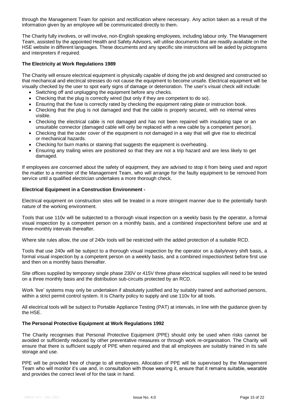through the Management Team for opinion and rectification where necessary. Any action taken as a result of the information given by an employee will be communicated directly to them.

The Charity fully involves, or will involve, non-English speaking employees, including labour only. The Management Team, assisted by the appointed Health and Safety Advisors, will utilise documents that are readily available on the HSE website in different languages. These documents and any specific site instructions will be aided by pictograms and interpreters if required.

## <span id="page-14-0"></span>**The Electricity at Work Regulations 1989**

The Charity will ensure electrical equipment is physically capable of doing the job and designed and constructed so that mechanical and electrical stresses do not cause the equipment to become unsafe. Electrical equipment will be visually checked by the user to spot early signs of damage or deterioration. The user's visual check will include:

- Switching off and unplugging the equipment before any checks.
- Checking that the plug is correctly wired (but only if they are competent to do so).
- Ensuring that the fuse is correctly rated by checking the equipment rating plate or instruction book.
- Checking that the plug is not damaged and that the cable is properly secured, with no internal wires visible.
- Checking the electrical cable is not damaged and has not been repaired with insulating tape or an unsuitable connector (damaged cable will only be replaced with a new cable by a competent person).
- Checking that the outer cover of the equipment is not damaged in a way that will give rise to electrical or mechanical hazards.
- Checking for burn marks or staining that suggests the equipment is overheating.
- Ensuring any trailing wires are positioned so that they are not a trip hazard and are less likely to get damaged.

If employees are concerned about the safety of equipment, they are advised to stop it from being used and report the matter to a member of the Management Team, who will arrange for the faulty equipment to be removed from service until a qualified electrician undertakes a more thorough check.

#### <span id="page-14-1"></span>**Electrical Equipment in a Construction Environment -**

Electrical equipment on construction sites will be treated in a more stringent manner due to the potentially harsh nature of the working environment.

Tools that use 110v will be subjected to a thorough visual inspection on a weekly basis by the operator, a formal visual inspection by a competent person on a monthly basis, and a combined inspection/test before use and at three-monthly intervals thereafter.

Where site rules allow, the use of 240v tools will be restricted with the added protection of a suitable RCD.

Tools that use 240v will be subject to a thorough visual inspection by the operator on a daily/every shift basis, a formal visual inspection by a competent person on a weekly basis, and a combined inspection/test before first use and then on a monthly basis thereafter.

Site offices supplied by temporary single phase 230V or 415V three phase electrical supplies will need to be tested on a three monthly basis and the distribution sub-circuits protected by an RCD.

Work 'live' systems may only be undertaken if absolutely justified and by suitably trained and authorised persons, within a strict permit control system. It is Charity policy to supply and use 110v for all tools.

All electrical tools will be subject to Portable Appliance Testing (PAT) at intervals, in line with the guidance given by the HSE.

#### <span id="page-14-2"></span>**The Personal Protective Equipment at Work Regulations 1992**

The Charity recognises that Personal Protective Equipment (PPE) should only be used when risks cannot be avoided or sufficiently reduced by other preventative measures or through work re-organisation. The Charity will ensure that there is sufficient supply of PPE when required and that all employees are suitably trained in its safe storage and use.

PPE will be provided free of charge to all employees. Allocation of PPE will be supervised by the Management Team who will monitor it's use and, in consultation with those wearing it, ensure that it remains suitable, wearable and provides the correct level of for the task in hand.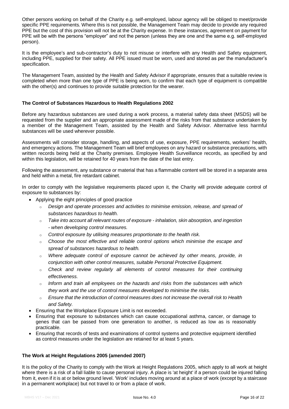Other persons working on behalf of the Charity e.g. self-employed, labour agency will be obliged to meet/provide specific PPE requirements. Where this is not possible, the Management Team may decide to provide any required PPE but the cost of this provision will not be at the Charity expense. In these instances, agreement on payment for PPE will be with the persons "employer" and not the person (unless they are one and the same e.g. self-employed person).

It is the employee's and sub-contractor's duty to not misuse or interfere with any Health and Safety equipment, including PPE, supplied for their safety. All PPE issued must be worn, used and stored as per the manufacturer's specification.

The Management Team, assisted by the Health and Safety Advisor if appropriate, ensures that a suitable review is completed when more than one type of PPE is being worn, to confirm that each type of equipment is compatible with the other(s) and continues to provide suitable protection for the wearer.

## <span id="page-15-0"></span>**The Control of Substances Hazardous to Health Regulations 2002**

Before any hazardous substances are used during a work process, a material safety data sheet (MSDS) will be requested from the supplier and an appropriate assessment made of the risks from that substance undertaken by a member of the Management Team, assisted by the Health and Safety Advisor. Alternative less harmful substances will be used wherever possible.

Assessments will consider storage, handling, and aspects of use, exposure, PPE requirements, workers' health, and emergency actions. The Management Team will brief employees on any hazard or substance precautions, with written records being held at the Charity premises. Employee Health Surveillance records, as specified by and within this legislation, will be retained for 40 years from the date of the last entry.

Following the assessment, any substance or material that has a flammable content will be stored in a separate area and held within a metal, fire retardant cabinet.

In order to comply with the legislative requirements placed upon it, the Charity will provide adequate control of exposure to substances by:

- Applying the eight principles of good practice
	- o *Design and operate processes and activities to minimise emission, release, and spread of substances hazardous to health.*
	- o *Take into account all relevant routes of exposure - inhalation, skin absorption, and ingestion - when developing control measures.*
	- o *Control exposure by utilising measures proportionate to the health risk.*
	- o *Choose the most effective and reliable control options which minimise the escape and spread of substances hazardous to health.*
	- o *Where adequate control of exposure cannot be achieved by other means, provide, in conjunction with other control measures, suitable Personal Protective Equipment.*
	- o *Check and review regularly all elements of control measures for their continuing effectiveness.*
	- o *Inform and train all employees on the hazards and risks from the substances with which they work and the use of control measures developed to minimise the risks.*
	- o *Ensure that the introduction of control measures does not increase the overall risk to Health and Safety.*
- Ensuring that the Workplace Exposure Limit is not exceeded.
- Ensuring that exposure to substances which can cause occupational asthma, cancer, or damage to genes that can be passed from one generation to another, is reduced as low as is reasonably practicable.
- Ensuring that records of tests and examinations of control systems and protective equipment identified as control measures under the legislation are retained for at least 5 years.

## <span id="page-15-1"></span>**The Work at Height Regulations 2005 (amended 2007)**

It is the policy of the Charity to comply with the Work at Height Regulations 2005, which apply to all work at height where there is a risk of a fall liable to cause personal injury. A place is 'at height' if a person could be injured falling from it, even if it is at or below ground level. 'Work' includes moving around at a place of work (except by a staircase in a permanent workplace) but not travel to or from a place of work.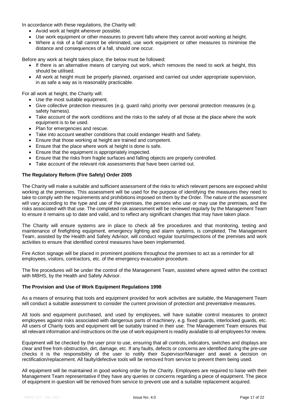In accordance with these regulations, the Charity will:

- Avoid work at height wherever possible.
- Use work equipment or other measures to prevent falls where they cannot avoid working at height.
- Where a risk of a fall cannot be eliminated, use work equipment or other measures to minimise the distance and consequences of a fall, should one occur.

Before any work at height takes place, the below must be followed:

- If there is an alternative means of carrying out work, which removes the need to work at height, this should be utilised.
- All work at height must be properly planned, organised and carried out under appropriate supervision, in as safe a way as is reasonably practicable.

For all work at height, the Charity will:

- Use the most suitable equipment.
- Give collective protection measures (e.g. guard rails) priority over personal protection measures (e.g. safety harness).
- Take account of the work conditions and the risks to the safety of all those at the place where the work equipment is to be used.
- Plan for emergencies and rescue.
- Take into account weather conditions that could endanger Health and Safety.
- Ensure that those working at height are trained and competent.
- Ensure that the place where work at height is done is safe.
- Ensure that the equipment is appropriately inspected.
- Ensure that the risks from fragile surfaces and falling objects are properly controlled.
- Take account of the relevant risk assessments that have been carried out.

#### <span id="page-16-0"></span>**The Regulatory Reform (Fire Safety) Order 2005**

The Charity will make a suitable and sufficient assessment of the risks to which relevant persons are exposed whilst working at the premises. This assessment will be used for the purpose of identifying the measures they need to take to comply with the requirements and prohibitions imposed on them by the Order. The nature of the assessment will vary according to the type and use of the premises, the persons who use or may use the premises, and the risks associated with that use. The completed risk assessment will be reviewed regularly by the Management Team to ensure it remains up to date and valid, and to reflect any significant changes that may have taken place.

The Charity will ensure systems are in place to check all fire procedures and that monitoring, testing and maintenance of firefighting equipment, emergency lighting and alarm systems, is completed. The Management Team, assisted by the Health and Safety Advisor, will conduct regular tours/inspections of the premises and work activities to ensure that identified control measures have been implemented.

Fire Action signage will be placed in prominent positions throughout the premises to act as a reminder for all employees, visitors, contractors, etc. of the emergency evacuation procedure.

The fire procedures will be under the control of the Management Team, assisted where agreed within the contract with MBHS, by the Health and Safety Advisor.

#### <span id="page-16-1"></span>**The Provision and Use of Work Equipment Regulations 1998**

As a means of ensuring that tools and equipment provided for work activities are suitable, the Management Team will conduct a suitable assessment to consider the current provision of protection and preventative measures.

All tools and equipment purchased, and used by employees, will have suitable control measures to protect employees against risks associated with dangerous parts of machinery, e.g. fixed guards, interlocked guards, etc. All users of Charity tools and equipment will be suitably trained in their use. The Management Team ensures that all relevant information and instructions on the use of work equipment is readily available to all employees for review.

Equipment will be checked by the user prior to use, ensuring that all controls, indicators, switches and displays are clear and free from obstruction, dirt, damage, etc. If any faults, defects or concerns are identified during the pre-use checks it is the responsibility of the user to notify their Supervisor/Manager and await a decision on rectification/replacement. All faulty/defective tools will be removed from service to prevent them being used.

All equipment will be maintained in good working order by the Charity. Employees are required to liaise with their Management Team representative if they have any queries or concerns regarding a piece of equipment. The piece of equipment in question will be removed from service to prevent use and a suitable replacement acquired.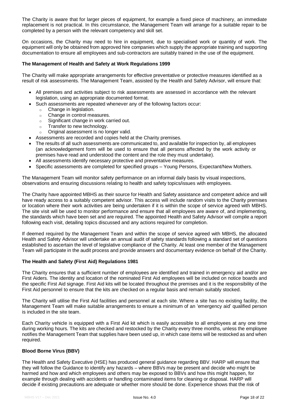The Charity is aware that for larger pieces of equipment, for example a fixed piece of machinery, an immediate replacement is not practical. In this circumstance, the Management Team will arrange for a suitable repair to be completed by a person with the relevant competency and skill set.

On occasions, the Charity may need to hire in equipment, due to specialised work or quantity of work. The equipment will only be obtained from approved hire companies which supply the appropriate training and supporting documentation to ensure all employees and sub-contractors are suitably trained in the use of the equipment.

#### <span id="page-17-0"></span>**The Management of Health and Safety at Work Regulations 1999**

The Charity will make appropriate arrangements for effective preventative or protective measures identified as a result of risk assessments. The Management Team, assisted by the Health and Safety Advisor, will ensure that:

- All premises and activities subject to risk assessments are assessed in accordance with the relevant legislation, using an appropriate documented format.
- Such assessments are repeated whenever any of the following factors occur:
	- $\circ$  Change in legislation.
	- o Change in control measures.
	- o Significant change in work carried out.
	- o Transfer to new technology.
	- Original assessment is no longer valid.
- Assessments are recorded and copies held at the Charity premises.
- The results of all such assessments are communicated to, and available for inspection by, all employees (an acknowledgement form will be used to ensure that all persons affected by the work activity or premises have read and understood the content and the role they must undertake).
- All assessments identify necessary protective and preventative measures.
- Specific assessments are completed for specified groups Young Persons, Expectant/New Mothers.

The Management Team will monitor safety performance on an informal daily basis by visual inspections, observations and ensuring discussions relating to health and safety topics/issues with employees.

The Charity have appointed MBHS as their source for Health and Safety assistance and competent advice and will have ready access to a suitably competent advisor. This access will include random visits to the Charity premises or location where their work activities are being undertaken if it is within the scope of service agreed with MBHS. The site visit will be used to monitor performance and ensure that all employees are aware of, and implementing, the standards which have been set and are required. The appointed Health and Safety Advisor will compile a report following each visit, detailing topics discussed and any actions required for completion.

If deemed required by the Management Team and within the scope of service agreed with MBHS, the allocated Health and Safety Advisor will undertake an annual audit of safety standards following a standard set of questions established to ascertain the level of legislative compliance of the Charity. At least one member of the Management Team will participate in the audit process and provide answers and documentary evidence on behalf of the Charity.

#### <span id="page-17-1"></span>**The Health and Safety (First Aid) Regulations 1981**

The Charity ensures that a sufficient number of employees are identified and trained in emergency aid and/or are First Aiders. The identity and location of the nominated First Aid employees will be included on notice boards and the specific First Aid signage. First Aid kits will be located throughout the premises and it is the responsibility of the First Aid personnel to ensure that the kits are checked on a regular basis and remain suitably stocked.

The Charity will utilise the First Aid facilities and personnel at each site. Where a site has no existing facility, the Management Team will make suitable arrangements to ensure a minimum of an 'emergency aid' qualified person is included in the site team.

Each Charity vehicle is equipped with a First Aid kit which is easily accessible to all employees at any one time during working hours. The kits are checked and restocked by the Charity every three months, unless the employee notifies the Management Team that supplies have been used up, in which case items will be restocked as and when required.

## <span id="page-17-2"></span>**Blood Borne Virus (BBV)**

The Health and Safety Executive (HSE) has produced general guidance regarding BBV. HARP will ensure that they will follow the Guidance to identify any hazards – where BBVs may be present and decide who might be harmed and how and which employees and others may be exposed to BBVs and how this might happen, for example through dealing with accidents or handling contaminated items for cleaning or disposal. HARP will decide if existing precautions are adequate or whether more should be done. Experience shows that the risk of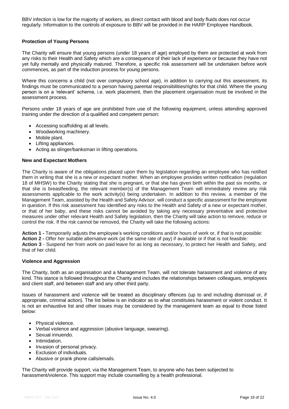BBV infection is low for the majority of workers, as direct contact with blood and body fluids does not occur regularly. Information to the controls of exposure to BBV will be provided in the HARP Employee Handbook.

#### <span id="page-18-0"></span>**Protection of Young Persons**

The Charity will ensure that young persons (under 18 years of age) employed by them are protected at work from any risks to their Health and Safety which are a consequence of their lack of experience or because they have not yet fully mentally and physically matured. Therefore, a specific risk assessment will be undertaken before work commences, as part of the induction process for young persons.

Where this concerns a child (not over compulsory school age), in addition to carrying out this assessment, its findings must be communicated to a person having parental responsibilities/rights for that child. Where the young person is on a 'relevant' scheme, i.e. work placement, then the placement organisation must be involved in the assessment process.

Persons under 18 years of age are prohibited from use of the following equipment, unless attending approved training under the direction of a qualified and competent person:

- Accessing scaffolding at all levels.
- Woodworking machinery.
- Mobile plant.
- Lifting appliances.
- Acting as slinger/banksman in lifting operations.

#### <span id="page-18-1"></span>**New and Expectant Mothers**

The Charity is aware of the obligations placed upon them by legislation regarding an employee who has notified them in writing that she is a new or expectant mother. When an employee provides written notification (regulation 18 of MHSW) to the Charity stating that she is pregnant, or that she has given birth within the past six months, or that she is breastfeeding, the relevant member(s) of the Management Team will immediately review any risk assessments applicable to the work activity(s) being undertaken. In addition to this review, a member of the Management Team, assisted by the Health and Safety Advisor, will conduct a specific assessment for the employee in question. If this risk assessment has identified any risks to the Health and Safety of a new or expectant mother, or that of her baby, and these risks cannot be avoided by taking any necessary preventative and protective measures under other relevant Health and Safety legislation, then the Charity will take action to remove, reduce or control the risk. If the risk cannot be removed, the Charity will take the following actions:

**Action 1 -** Temporarily adjusts the employee's working conditions and/or hours of work or, if that is not possible: **Action 2 -** Offer her suitable alternative work (at the same rate of pay) if available or if that is not feasible: **Action 3** - Suspend her from work on paid leave for as long as necessary, to protect her Health and Safety, and that of her child.

#### <span id="page-18-2"></span>**Violence and Aggression**

The Charity, both as an organisation and a Management Team, will not tolerate harassment and violence of any kind. This stance is followed throughout the Charity and includes the relationships between colleagues, employees and client staff, and between staff and any other third party.

Issues of harassment and violence will be treated as disciplinary offences (up to and including dismissal or, if appropriate, criminal action). The list below is an indicator as to what constitutes harassment or violent conduct. It is not an exhaustive list and other issues may be considered by the management team as equal to those listed below:

- Physical violence.
- Verbal violence and aggression (abusive language, swearing).
- Sexual innuendo.
- Intimidation.
- Invasion of personal privacy.
- Exclusion of individuals.
- Abusive or prank phone calls/emails.

The Charity will provide support, via the Management Team, to anyone who has been subjected to harassment/violence. This support may include counselling by a health professional.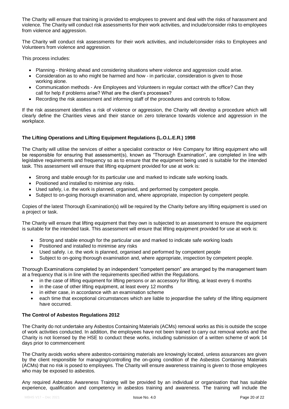The Charity will ensure that training is provided to employees to prevent and deal with the risks of harassment and violence. The Charity will conduct risk assessments for their work activities, and include/consider risks to employees from violence and aggression.

The Charity will conduct risk assessments for their work activities, and include/consider risks to Employees and Volunteers from violence and aggression.

This process includes:

- Planning thinking ahead and considering situations where violence and aggression could arise.
- Consideration as to who might be harmed and how in particular, consideration is given to those working alone.
- Communication methods Are Employees and Volunteers in regular contact with the office? Can they call for help if problems arise? What are the client's processes?
- Recording the risk assessment and informing staff of the procedures and controls to follow.

If the risk assessment identifies a risk of violence or aggression, the Charity will develop a procedure which will clearly define the Charities views and their stance on zero tolerance towards violence and aggression in the workplace.

## <span id="page-19-0"></span>**The Lifting Operations and Lifting Equipment Regulations (L.O.L.E.R.) 1998**

The Charity will utilise the services of either a specialist contractor or Hire Company for lifting equipment who will be responsible for ensuring that assessment(s), known as "Thorough Examination", are completed in line with legislative requirements and frequency so as to ensure that the equipment being used is suitable for the intended task. This assessment will ensure that lifting equipment provided for use at work is:

- Strong and stable enough for its particular use and marked to indicate safe working loads.
- Positioned and installed to minimise any risks.
- Used safely, i.e. the work is planned, organised, and performed by competent people.
- Subject to on-going thorough examination and, where appropriate, inspection by competent people.

Copies of the latest Thorough Examination(s) will be required by the Charity before any lifting equipment is used on a project or task.

The Charity will ensure that lifting equipment that they own is subjected to an assessment to ensure the equipment is suitable for the intended task. This assessment will ensure that lifting equipment provided for use at work is:

- Strong and stable enough for the particular use and marked to indicate safe working loads
- Positioned and installed to minimise any risks
- Used safely. i.e. the work is planned, organised and performed by competent people
- Subject to on-going thorough examination and, where appropriate, inspection by competent people.

Thorough Examinations completed by an independent "competent person" are arranged by the management team at a frequency that is in line with the requirements specified within the Regulations.

- in the case of lifting equipment for lifting persons or an accessory for lifting, at least every 6 months
- in the case of other lifting equipment, at least every 12 months
- in either case, in accordance with an examination scheme
- each time that exceptional circumstances which are liable to jeopardise the safety of the lifting equipment have occurred.

## <span id="page-19-1"></span>**The Control of Asbestos Regulations 2012**

The Charity do not undertake any Asbestos Containing Materials (ACMs) removal works as this is outside the scope of work activities conducted. In addition, the employees have not been trained to carry out removal works and the Charity is not licensed by the HSE to conduct these works, including submission of a written scheme of work 14 days prior to commencement

The Charity avoids works where asbestos-containing materials are knowingly located, unless assurances are given by the client responsible for managing/controlling the on-going condition of the Asbestos Containing Materials (ACMs) that no risk is posed to employees. The Charity will ensure awareness training is given to those employees who may be exposed to asbestos.

Any required Asbestos Awareness Training will be provided by an individual or organisation that has suitable experience, qualification and competency in asbestos training and awareness. The training will include the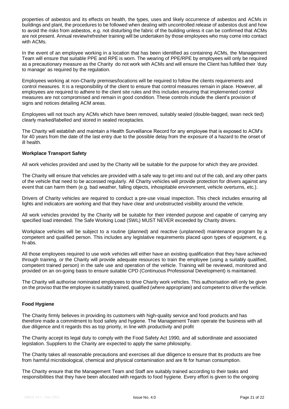properties of asbestos and its effects on health, the types, uses and likely occurrence of asbestos and ACMs in buildings and plant, the procedures to be followed when dealing with uncontrolled release of asbestos dust and how to avoid the risks from asbestos, e.g. not disturbing the fabric of the building unless it can be confirmed that ACMs are not present. Annual review/refresher training will be undertaken by those employees who may come into contact with ACMs.

In the event of an employee working in a location that has been identified as containing ACMs, the Management Team will ensure that suitable PPE and RPE is worn. The wearing of PPE/RPE by employees will only be required as a precautionary measure as the Charity do not work with ACMs and will ensure the Client has fulfilled their 'duty to manage' as required by the regulation.

Employees working at non-Charity premises/locations will be required to follow the clients requirements and control measures. It is a responsibility of the client to ensure that control measures remain in place. However, all employees are required to adhere to the client site rules and this includes ensuring that implemented control measures are not compromised and remain in good condition. These controls include the client's provision of signs and notices detailing ACM areas.

Employees will not touch any ACMs which have been removed, suitably sealed (double-bagged, swan neck tied) clearly marked/labelled and stored in sealed receptacles.

The Charity will establish and maintain a Health Surveillance Record for any employee that is exposed to ACM's for 40 years from the date of the last entry due to the possible delay from the exposure of a hazard to the onset of ill health.

#### <span id="page-20-0"></span>**Workplace Transport Safety**

All work vehicles provided and used by the Charity will be suitable for the purpose for which they are provided.

The Charity will ensure that vehicles are provided with a safe way to get into and out of the cab, and any other parts of the vehicle that need to be accessed regularly. All Charity vehicles will provide protection for drivers against any event that can harm them (e.g. bad weather, falling objects, inhospitable environment, vehicle overturns, etc.).

Drivers of Charity vehicles are required to conduct a pre-use visual inspection. This check includes ensuring all lights and indicators are working and that they have clear and unobstructed visibility around the vehicle.

All work vehicles provided by the Charity will be suitable for their intended purpose and capable of carrying any specified load intended. The Safe Working Load (SWL) MUST NEVER exceeded by Charity drivers.

Workplace vehicles will be subject to a routine (planned) and reactive (unplanned) maintenance program by a competent and qualified person. This includes any legislative requirements placed upon types of equipment, e.g. hi-abs.

All those employees required to use work vehicles will either have an existing qualification that they have achieved through training, or the Charity will provide adequate resources to train the employee (using a suitably qualified, competent trained person) in the safe use and operation of the vehicle. Training will be reviewed, monitored and provided on an on-going basis to ensure suitable CPD (Continuous Professional Development) is maintained.

The Charity will authorise nominated employees to drive Charity work vehicles. This authorisation will only be given on the proviso that the employee is suitably trained, qualified (where appropriate) and competent to drive the vehicle.

## <span id="page-20-1"></span>**Food Hygiene**

The Charity firmly believes in providing its customers with high-quality service and food products and has therefore made a commitment to food safety and hygiene. The Management Team operate the business with all due diligence and it regards this as top priority, in line with productivity and profit

The Charity accept its legal duty to comply with the Food Safety Act 1990, and all subordinate and associated legislation. Suppliers to the Charity are expected to apply the same philosophy.

The Charity takes all reasonable precautions and exercises all due diligence to ensure that its products are free from harmful microbiological, chemical and physical contamination and are fit for human consumption.

The Charity ensure that the Management Team and Staff are suitably trained according to their tasks and responsibilities that they have been allocated with regards to food hygiene. Every effort is given to the ongoing